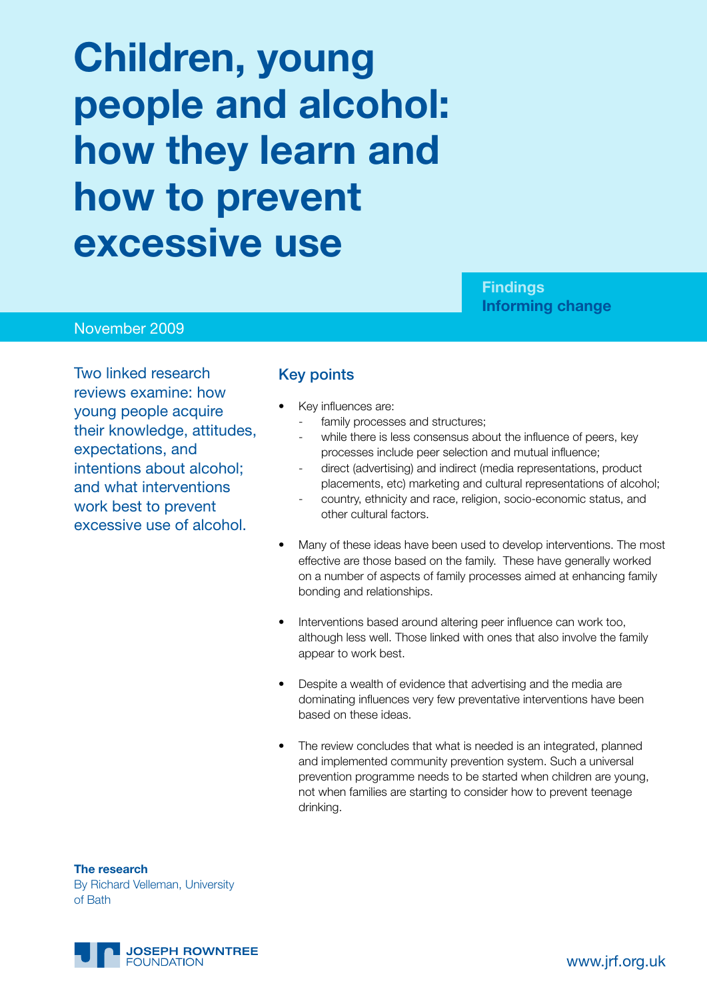# **Children, young people and alcohol: how they learn and how to prevent excessive use**

**Findings Informing change**

### November 2009

Two linked research reviews examine: how young people acquire their knowledge, attitudes, expectations, and intentions about alcohol; and what interventions work best to prevent excessive use of alcohol.

#### Key points

- Key influences are:
	- family processes and structures;
	- while there is less consensus about the influence of peers, key processes include peer selection and mutual influence;
	- direct (advertising) and indirect (media representations, product placements, etc) marketing and cultural representations of alcohol;
	- country, ethnicity and race, religion, socio-economic status, and other cultural factors.
- Many of these ideas have been used to develop interventions. The most effective are those based on the family. These have generally worked on a number of aspects of family processes aimed at enhancing family bonding and relationships.
- Interventions based around altering peer influence can work too, although less well. Those linked with ones that also involve the family appear to work best.
- Despite a wealth of evidence that advertising and the media are dominating influences very few preventative interventions have been based on these ideas.
- The review concludes that what is needed is an integrated, planned and implemented community prevention system. Such a universal prevention programme needs to be started when children are young, not when families are starting to consider how to prevent teenage drinking.

**The research** By Richard Velleman, University of Bath

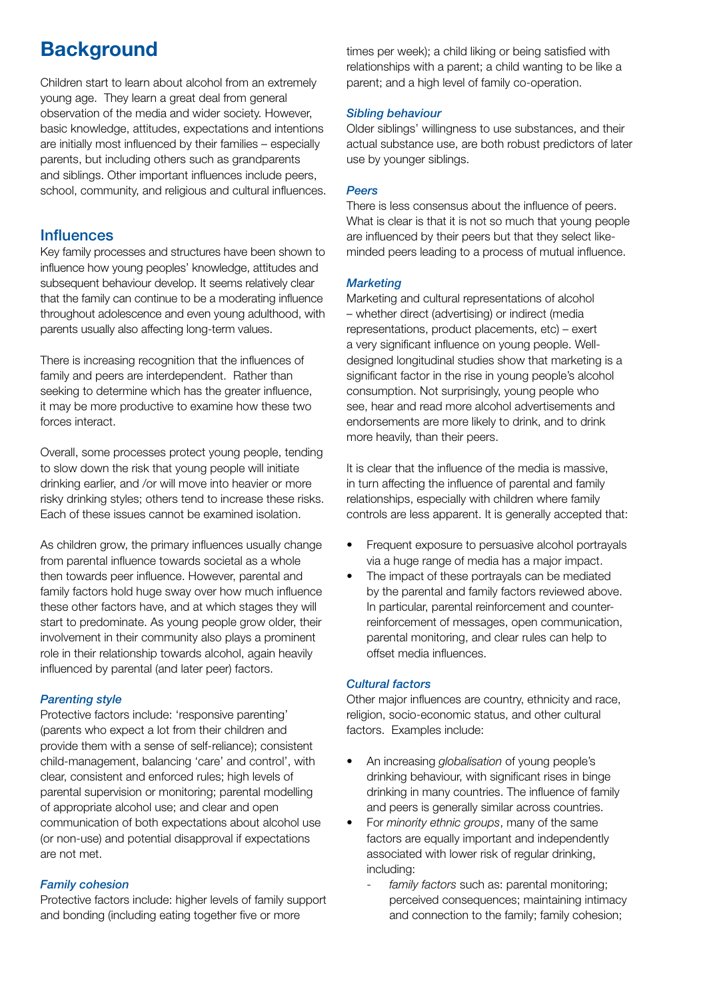# **Background**

Children start to learn about alcohol from an extremely young age. They learn a great deal from general observation of the media and wider society. However, basic knowledge, attitudes, expectations and intentions are initially most influenced by their families – especially parents, but including others such as grandparents and siblings. Other important influences include peers, school, community, and religious and cultural influences.

## **Influences**

Key family processes and structures have been shown to influence how young peoples' knowledge, attitudes and subsequent behaviour develop. It seems relatively clear that the family can continue to be a moderating influence throughout adolescence and even young adulthood, with parents usually also affecting long-term values.

There is increasing recognition that the influences of family and peers are interdependent. Rather than seeking to determine which has the greater influence, it may be more productive to examine how these two forces interact.

Overall, some processes protect young people, tending to slow down the risk that young people will initiate drinking earlier, and /or will move into heavier or more risky drinking styles; others tend to increase these risks. Each of these issues cannot be examined isolation.

As children grow, the primary influences usually change from parental influence towards societal as a whole then towards peer influence. However, parental and family factors hold huge sway over how much influence these other factors have, and at which stages they will start to predominate. As young people grow older, their involvement in their community also plays a prominent role in their relationship towards alcohol, again heavily influenced by parental (and later peer) factors.

#### *Parenting style*

Protective factors include: 'responsive parenting' (parents who expect a lot from their children and provide them with a sense of self-reliance); consistent child-management, balancing 'care' and control', with clear, consistent and enforced rules; high levels of parental supervision or monitoring; parental modelling of appropriate alcohol use; and clear and open communication of both expectations about alcohol use (or non-use) and potential disapproval if expectations are not met.

#### *Family cohesion*

Protective factors include: higher levels of family support and bonding (including eating together five or more

times per week); a child liking or being satisfied with relationships with a parent; a child wanting to be like a parent; and a high level of family co-operation.

#### *Sibling behaviour*

Older siblings' willingness to use substances, and their actual substance use, are both robust predictors of later use by younger siblings.

#### *Peers*

There is less consensus about the influence of peers. What is clear is that it is not so much that young people are influenced by their peers but that they select likeminded peers leading to a process of mutual influence.

#### *Marketing*

Marketing and cultural representations of alcohol – whether direct (advertising) or indirect (media representations, product placements, etc) – exert a very significant influence on young people. Welldesigned longitudinal studies show that marketing is a significant factor in the rise in young people's alcohol consumption. Not surprisingly, young people who see, hear and read more alcohol advertisements and endorsements are more likely to drink, and to drink more heavily, than their peers.

It is clear that the influence of the media is massive, in turn affecting the influence of parental and family relationships, especially with children where family controls are less apparent. It is generally accepted that:

- Frequent exposure to persuasive alcohol portrayals via a huge range of media has a major impact.
- The impact of these portrayals can be mediated by the parental and family factors reviewed above. In particular, parental reinforcement and counterreinforcement of messages, open communication, parental monitoring, and clear rules can help to offset media influences.

#### *Cultural factors*

Other major influences are country, ethnicity and race, religion, socio-economic status, and other cultural factors. Examples include:

- • An increasing *globalisation* of young people's drinking behaviour, with significant rises in binge drinking in many countries. The influence of family and peers is generally similar across countries.
- For *minority ethnic groups*, many of the same factors are equally important and independently associated with lower risk of regular drinking, including:
	- family factors such as: parental monitoring; perceived consequences; maintaining intimacy and connection to the family; family cohesion;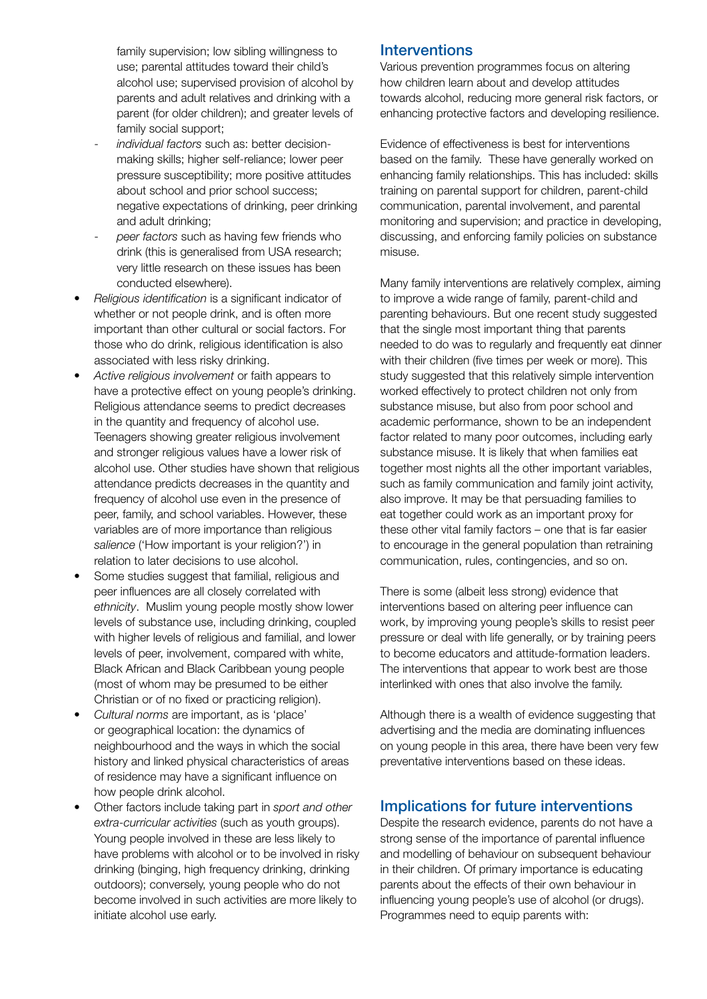family supervision; low sibling willingness to use; parental attitudes toward their child's alcohol use; supervised provision of alcohol by parents and adult relatives and drinking with a parent (for older children); and greater levels of family social support;

- *individual factors* such as: better decisionmaking skills; higher self-reliance; lower peer pressure susceptibility; more positive attitudes about school and prior school success; negative expectations of drinking, peer drinking and adult drinking;
- *peer factors* such as having few friends who drink (this is generalised from USA research; very little research on these issues has been conducted elsewhere).
- Religious identification is a significant indicator of whether or not people drink, and is often more important than other cultural or social factors. For those who do drink, religious identification is also associated with less risky drinking.
- Active religious involvement or faith appears to have a protective effect on young people's drinking. Religious attendance seems to predict decreases in the quantity and frequency of alcohol use. Teenagers showing greater religious involvement and stronger religious values have a lower risk of alcohol use. Other studies have shown that religious attendance predicts decreases in the quantity and frequency of alcohol use even in the presence of peer, family, and school variables. However, these variables are of more importance than religious *salience* ('How important is your religion?') in relation to later decisions to use alcohol.
- Some studies suggest that familial, religious and peer influences are all closely correlated with *ethnicity*. Muslim young people mostly show lower levels of substance use, including drinking, coupled with higher levels of religious and familial, and lower levels of peer, involvement, compared with white, Black African and Black Caribbean young people (most of whom may be presumed to be either Christian or of no fixed or practicing religion).
- Cultural norms are important, as is 'place' or geographical location: the dynamics of neighbourhood and the ways in which the social history and linked physical characteristics of areas of residence may have a significant influence on how people drink alcohol.
- Other factors include taking part in *sport and other extra-curricular activities* (such as youth groups). Young people involved in these are less likely to have problems with alcohol or to be involved in risky drinking (binging, high frequency drinking, drinking outdoors); conversely, young people who do not become involved in such activities are more likely to initiate alcohol use early.

# **Interventions**

Various prevention programmes focus on altering how children learn about and develop attitudes towards alcohol, reducing more general risk factors, or enhancing protective factors and developing resilience.

Evidence of effectiveness is best for interventions based on the family. These have generally worked on enhancing family relationships. This has included: skills training on parental support for children, parent-child communication, parental involvement, and parental monitoring and supervision; and practice in developing, discussing, and enforcing family policies on substance misuse.

Many family interventions are relatively complex, aiming to improve a wide range of family, parent-child and parenting behaviours. But one recent study suggested that the single most important thing that parents needed to do was to regularly and frequently eat dinner with their children (five times per week or more). This study suggested that this relatively simple intervention worked effectively to protect children not only from substance misuse, but also from poor school and academic performance, shown to be an independent factor related to many poor outcomes, including early substance misuse. It is likely that when families eat together most nights all the other important variables, such as family communication and family joint activity, also improve. It may be that persuading families to eat together could work as an important proxy for these other vital family factors – one that is far easier to encourage in the general population than retraining communication, rules, contingencies, and so on.

There is some (albeit less strong) evidence that interventions based on altering peer influence can work, by improving young people's skills to resist peer pressure or deal with life generally, or by training peers to become educators and attitude-formation leaders. The interventions that appear to work best are those interlinked with ones that also involve the family.

Although there is a wealth of evidence suggesting that advertising and the media are dominating influences on young people in this area, there have been very few preventative interventions based on these ideas.

# Implications for future interventions

Despite the research evidence, parents do not have a strong sense of the importance of parental influence and modelling of behaviour on subsequent behaviour in their children. Of primary importance is educating parents about the effects of their own behaviour in influencing young people's use of alcohol (or drugs). Programmes need to equip parents with: